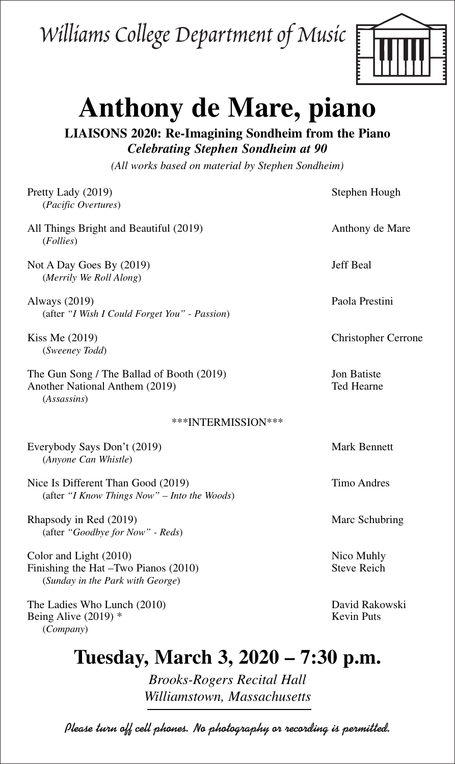## Williams College Department of Music



## **Anthony de Mare, piano**

**LIAISONS 2020: Re-Imagining Sondheim from the Piano** *Celebrating Stephen Sondheim at 90*

*(All works based on material by Stephen Sondheim)*

| Pretty Lady (2019)<br>(Pacific Overtures)                                                          | Stephen Hough                       |
|----------------------------------------------------------------------------------------------------|-------------------------------------|
| All Things Bright and Beautiful (2019)<br>(Follies)                                                | Anthony de Mare                     |
| Not A Day Goes By (2019)<br>(Merrily We Roll Along)                                                | Jeff Beal                           |
| Always (2019)<br>(after "I Wish I Could Forget You" - Passion)                                     | Paola Prestini                      |
| Kiss Me (2019)<br>(Sweeney Todd)                                                                   | <b>Christopher Cerrone</b>          |
| The Gun Song / The Ballad of Booth (2019)<br>Another National Anthem (2019)<br>(Assassins)         | Jon Batiste<br>Ted Hearne           |
| ***INTERMISSION***                                                                                 |                                     |
| Everybody Says Don't (2019)<br>(Anyone Can Whistle)                                                | <b>Mark Bennett</b>                 |
| Nice Is Different Than Good (2019)<br>(after "I Know Things Now" – Into the Woods)                 | <b>Timo Andres</b>                  |
| Rhapsody in Red (2019)<br>(after "Goodbye for Now" - Reds)                                         | Marc Schubring                      |
| Color and Light (2010)<br>Finishing the Hat -Two Pianos (2010)<br>(Sunday in the Park with George) | Nico Muhly<br><b>Steve Reich</b>    |
| The Ladies Who Lunch (2010)<br>Being Alive $(2019)$ *<br>(Company)                                 | David Rakowski<br><b>Kevin Puts</b> |
| Tuesday, March 3, 2020 – 7:30 p.m.                                                                 |                                     |

*Brooks-Rogers Recital Hall Williamstown, Massachusetts*

**Please turn off cell phones. No photography or recording is permitted.**